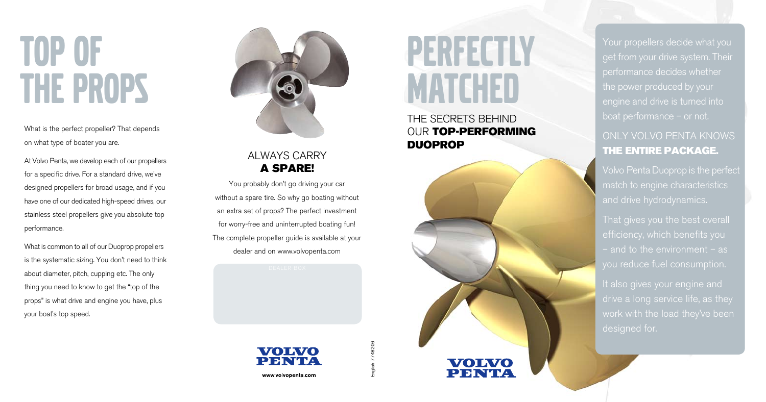## Top of the props

### ALWAYS CARRY a spare!

THE S ECRET S BEHIND OUR TOP-PERFORMING **DUOPROP** 



You probably don't go driving your car without a spare tire. So why go boating without an extra set of props? The perfect investment for worry-free and uninterrupted boating fun! The complete propeller guide is available at your dealer and on www.volvopenta.com

> VOIVO PFNTA

## Perfectly MATCHED

What is the perfect propeller? That depends on what type of boater you are.

Your propellers decide what you get from your drive system. Their performance decides whether the power produced by your

At Volvo Penta, we develop each of our propellers for a specific drive. For a standard drive, we've designed propellers for broad usage, and if you have one of our dedicated high-speed drives, our stainless steel propellers give you absolute top performance. What is common to all of our Duoprop propellers

> It also gives your engine and designed for.

English 7748206 English 7748206

#### www.volvopenta.com

is the systematic sizing. You don't need to think about diameter, pitch, cupping etc. The only thing you need to know to get the "top of the props" is what drive and engine you have, plus your boat's top speed.



engine and drive is turned into

## Only Volvo Penta knows the entire package.

Volvo Penta Duoprop is the perfect match to engine characteristics and drive hydrodynamics.

efficiency, which benefits you you reduce fuel consumption.